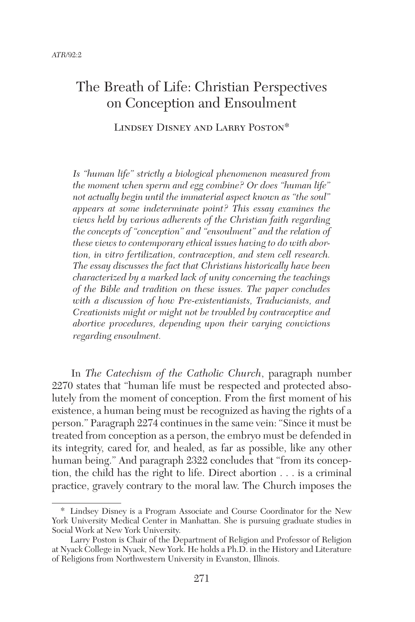# The Breath of Life: Christian Perspectives on Conception and Ensoulment

Lindsey Disney and Larry Poston\*

*Is "human life" strictly a biological phenomenon measured from the moment when sperm and egg combine? Or does "human life" not actually begin until the immaterial aspect known as "the soul" appears at some indeterminate point? This essay examines the views held by various adherents of the Christian faith regarding the concepts of "conception" and "ensoulment" and the relation of these views to contemporary ethical issues having to do with abortion, in vitro fertilization, contraception, and stem cell research. The essay discusses the fact that Christians historically have been characterized by a marked lack of unity concerning the teachings of the Bible and tradition on these issues. The paper concludes with a discussion of how Pre-existentianists, Traducianists, and Creationists might or might not be troubled by contraceptive and abortive procedures, depending upon their varying convictions regarding ensoulment.* 

In *The Catechism of the Catholic Church*, paragraph number 2270 states that "human life must be respected and protected absolutely from the moment of conception. From the first moment of his existence, a human being must be recognized as having the rights of a person." Paragraph 2274 continues in the same vein: "Since it must be treated from conception as a person, the embryo must be defended in its integrity, cared for, and healed, as far as possible, like any other human being." And paragraph 2322 concludes that "from its conception, the child has the right to life. Direct abortion . . . is a criminal practice, gravely contrary to the moral law. The Church imposes the

<sup>\*</sup>  Lindsey Disney is a Program Associate and Course Coordinator for the New York University Medical Center in Manhattan. She is pursuing graduate studies in Social Work at New York University.

Larry Poston is Chair of the Department of Religion and Professor of Religion at Nyack College in Nyack, New York. He holds a Ph.D. in the History and Literature of Religions from Northwestern University in Evanston, Illinois.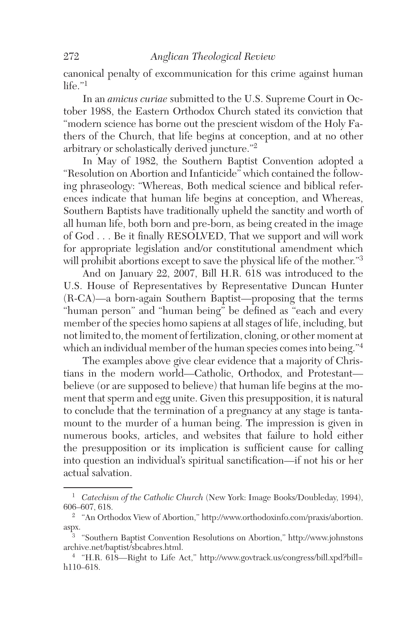canonical penalty of excommunication for this crime against human  $l$ ife $l$ 

In an *amicus curiae* submitted to the U.S. Supreme Court in October 1988, the Eastern Orthodox Church stated its conviction that "modern science has borne out the prescient wisdom of the Holy Fathers of the Church, that life begins at conception, and at no other arbitrary or scholastically derived juncture."<sup>2</sup>

In May of 1982, the Southern Baptist Convention adopted a "Resolution on Abortion and Infanticide" which contained the following phraseology: "Whereas, Both medical science and biblical references indicate that human life begins at conception, and Whereas, Southern Baptists have traditionally upheld the sanctity and worth of all human life, both born and pre-born, as being created in the image of God . . . Be it finally RESOLVED, That we support and will work for appropriate legislation and/or constitutional amendment which will prohibit abortions except to save the physical life of the mother."<sup>3</sup>

And on January 22, 2007, Bill H.R. 618 was introduced to the U.S. House of Representatives by Representative Duncan Hunter (R-CA)—a born-again Southern Baptist—proposing that the terms "human person" and "human being" be defined as "each and every member of the species homo sapiens at all stages of life, including, but not limited to, the moment of fertilization, cloning, or other moment at which an individual member of the human species comes into being."<sup>4</sup>

The examples above give clear evidence that a majority of Christians in the modern world—Catholic, Orthodox, and Protestant believe (or are supposed to believe) that human life begins at the moment that sperm and egg unite. Given this presupposition, it is natural to conclude that the termination of a pregnancy at any stage is tantamount to the murder of a human being. The impression is given in numerous books, articles, and websites that failure to hold either the presupposition or its implication is sufficient cause for calling into question an individual's spiritual sanctification—if not his or her actual salvation.

<sup>1</sup> *Catechism of the Catholic Church* (New York: Image Books/Doubleday, 1994), 606–607, 618.

 $^2$   $\,$  "An Orthodox View of Abortion," http://www.orthodoxinfo.com/praxis/abortion. aspx.

<sup>3</sup> "Southern Baptist Convention Resolutions on Abortion," http://www.johnstons archive.net/baptist/sbcabres.html.

<sup>4</sup> "H.R. 618—Right to Life Act," http://www.govtrack.us/congress/bill.xpd?bill= h110–618.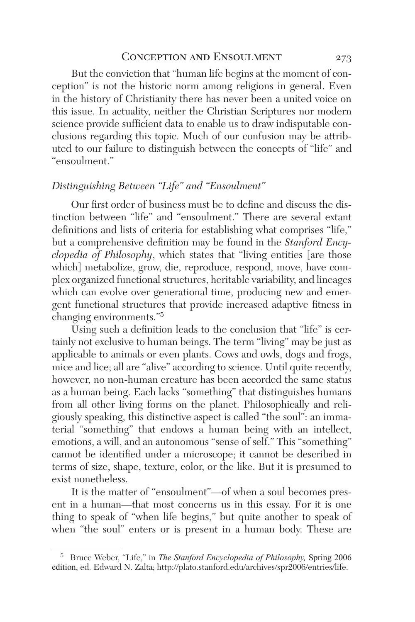# CONCEPTION AND ENSOULMENT 273

But the conviction that "human life begins at the moment of conception" is not the historic norm among religions in general. Even in the history of Christianity there has never been a united voice on this issue. In actuality, neither the Christian Scriptures nor modern science provide sufficient data to enable us to draw indisputable conclusions regarding this topic. Much of our confusion may be attributed to our failure to distinguish between the concepts of "life" and "ensoulment."

# *Distinguishing Between "Life" and "Ensoulment"*

Our first order of business must be to define and discuss the distinction between "life" and "ensoulment." There are several extant definitions and lists of criteria for establishing what comprises "life," but a comprehensive definition may be found in the *Stanford Encyclopedia of Philosophy*, which states that "living entities [are those which] metabolize, grow, die, reproduce, respond, move, have complex organized functional structures, heritable variability, and lineages which can evolve over generational time, producing new and emergent functional structures that provide increased adaptive fitness in changing environments."5

Using such a definition leads to the conclusion that "life" is certainly not exclusive to human beings. The term "living" may be just as applicable to animals or even plants. Cows and owls, dogs and frogs, mice and lice; all are "alive" according to science. Until quite recently, however, no non-human creature has been accorded the same status as a human being. Each lacks "something" that distinguishes humans from all other living forms on the planet. Philosophically and religiously speaking, this distinctive aspect is called "the soul": an immaterial "something" that endows a human being with an intellect, emotions, a will, and an autonomous "sense of self." This "something" cannot be identified under a microscope; it cannot be described in terms of size, shape, texture, color, or the like. But it is presumed to exist nonetheless.

It is the matter of "ensoulment"—of when a soul becomes present in a human—that most concerns us in this essay. For it is one thing to speak of "when life begins," but quite another to speak of when "the soul" enters or is present in a human body. These are

<sup>5</sup> Bruce Weber, "Life," in *The Stanford Encyclopedia of Philosophy,* Spring 2006 edition, ed. Edward N. Zalta; http://plato.stanford.edu/archives/spr2006/entries/life.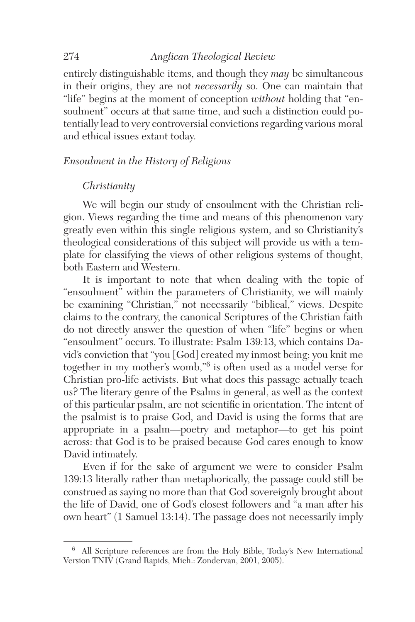entirely distinguishable items, and though they *may* be simultaneous in their origins, they are not *necessarily* so. One can maintain that "life" begins at the moment of conception *without* holding that "ensoulment" occurs at that same time, and such a distinction could potentially lead to very controversial convictions regarding various moral and ethical issues extant today.

#### *Ensoulment in the History of Religions*

#### *Christianity*

We will begin our study of ensoulment with the Christian religion. Views regarding the time and means of this phenomenon vary greatly even within this single religious system, and so Christianity's theological considerations of this subject will provide us with a template for classifying the views of other religious systems of thought, both Eastern and Western.

It is important to note that when dealing with the topic of "ensoulment" within the parameters of Christianity, we will mainly be examining "Christian," not necessarily "biblical," views. Despite claims to the contrary, the canonical Scriptures of the Christian faith do not directly answer the question of when "life" begins or when "ensoulment" occurs. To illustrate: Psalm 139:13, which contains David's conviction that "you [God] created my inmost being; you knit me together in my mother's womb,"6 is often used as a model verse for Christian pro-life activists. But what does this passage actually teach us? The literary genre of the Psalms in general, as well as the context of this particular psalm, are not scientific in orientation. The intent of the psalmist is to praise God, and David is using the forms that are appropriate in a psalm—poetry and metaphor—to get his point across: that God is to be praised because God cares enough to know David intimately.

Even if for the sake of argument we were to consider Psalm 139:13 literally rather than metaphorically, the passage could still be construed as saying no more than that God sovereignly brought about the life of David, one of God's closest followers and "a man after his own heart" (1 Samuel 13:14). The passage does not necessarily imply

<sup>6</sup> All Scripture references are from the Holy Bible, Today's New International Version TNIV (Grand Rapids, Mich.: Zondervan, 2001, 2005).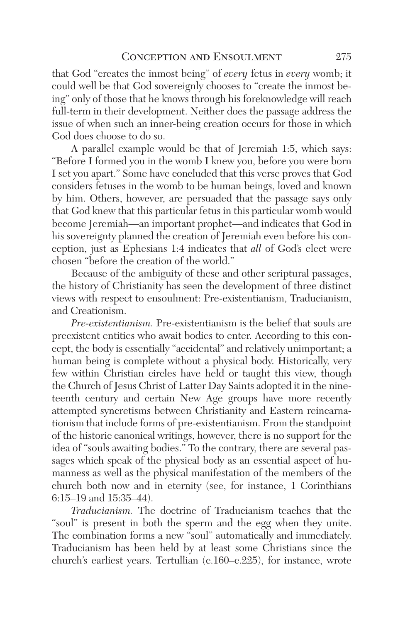that God "creates the inmost being" of *every* fetus in *every* womb; it could well be that God sovereignly chooses to "create the inmost being" only of those that he knows through his foreknowledge will reach full-term in their development. Neither does the passage address the issue of when such an inner-being creation occurs for those in which God does choose to do so.

A parallel example would be that of Jeremiah 1:5, which says: "Before I formed you in the womb I knew you, before you were born I set you apart." Some have concluded that this verse proves that God considers fetuses in the womb to be human beings, loved and known by him. Others, however, are persuaded that the passage says only that God knew that this particular fetus in this particular womb would become Jeremiah—an important prophet—and indicates that God in his sovereignty planned the creation of Jeremiah even before his conception, just as Ephesians 1:4 indicates that *all* of God's elect were chosen "before the creation of the world."

Because of the ambiguity of these and other scriptural passages, the history of Christianity has seen the development of three distinct views with respect to ensoulment: Pre-existentianism, Traducianism, and Creationism.

*Pre-existentianism.* Pre-existentianism is the belief that souls are preexistent entities who await bodies to enter. According to this concept, the body is essentially "accidental" and relatively unimportant; a human being is complete without a physical body. Historically, very few within Christian circles have held or taught this view, though the Church of Jesus Christ of Latter Day Saints adopted it in the nineteenth century and certain New Age groups have more recently attempted syncretisms between Christianity and Eastern reincarnationism that include forms of pre-existentianism. From the standpoint of the historic canonical writings, however, there is no support for the idea of "souls awaiting bodies." To the contrary, there are several passages which speak of the physical body as an essential aspect of humanness as well as the physical manifestation of the members of the church both now and in eternity (see, for instance, 1 Corinthians 6:15–19 and 15:35–44).

*Traducianism.* The doctrine of Traducianism teaches that the "soul" is present in both the sperm and the egg when they unite. The combination forms a new "soul" automatically and immediately. Traducianism has been held by at least some Christians since the church's earliest years. Tertullian (c.160–c.225), for instance, wrote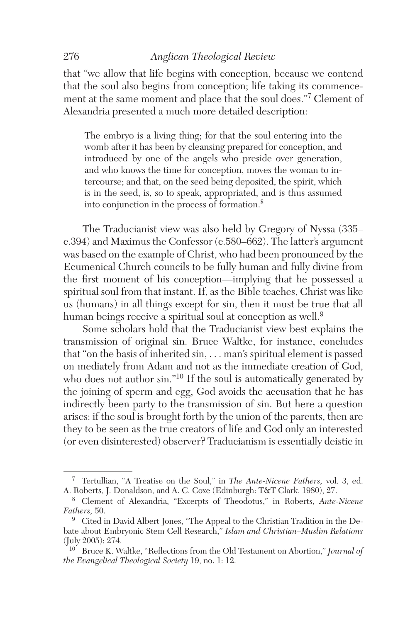that "we allow that life begins with conception, because we contend that the soul also begins from conception; life taking its commencement at the same moment and place that the soul does."7 Clement of Alexandria presented a much more detailed description:

The embryo is a living thing; for that the soul entering into the womb after it has been by cleansing prepared for conception, and introduced by one of the angels who preside over generation, and who knows the time for conception, moves the woman to intercourse; and that, on the seed being deposited, the spirit, which is in the seed, is, so to speak, appropriated, and is thus assumed into conjunction in the process of formation.<sup>8</sup>

The Traducianist view was also held by Gregory of Nyssa (335– c.394) and Maximus the Confessor (c.580–662). The latter's argument was based on the example of Christ, who had been pronounced by the Ecumenical Church councils to be fully human and fully divine from the first moment of his conception—implying that he possessed a spiritual soul from that instant. If, as the Bible teaches, Christ was like us (humans) in all things except for sin, then it must be true that all human beings receive a spiritual soul at conception as well.<sup>9</sup>

Some scholars hold that the Traducianist view best explains the transmission of original sin. Bruce Waltke, for instance, concludes that "on the basis of inherited sin, . . . man's spiritual element is passed on mediately from Adam and not as the immediate creation of God, who does not author sin."<sup>10</sup> If the soul is automatically generated by the joining of sperm and egg, God avoids the accusation that he has indirectly been party to the transmission of sin. But here a question arises: if the soul is brought forth by the union of the parents, then are they to be seen as the true creators of life and God only an interested (or even disinterested) observer? Traducianism is essentially deistic in

<sup>7</sup> Tertullian, "A Treatise on the Soul," in *The Ante-Nicene Fathers,* vol. 3, ed. A. Roberts, J. Donaldson, and A. C. Coxe (Edinburgh: T&T Clark, 1980), 27.

<sup>8</sup> Clement of Alexandria, "Excerpts of Theodotus," in Roberts, *Ante-Nicene Fathers,* 50.

<sup>&</sup>lt;sup>9</sup> Cited in David Albert Jones, "The Appeal to the Christian Tradition in the Debate about Embryonic Stem Cell Research," *Islam and Christian–Muslim Relations* (July 2005): 274.

<sup>10</sup> Bruce K. Waltke, "Reflections from the Old Testament on Abortion," *Journal of the Evangelical Theological Society* 19, no. 1: 12.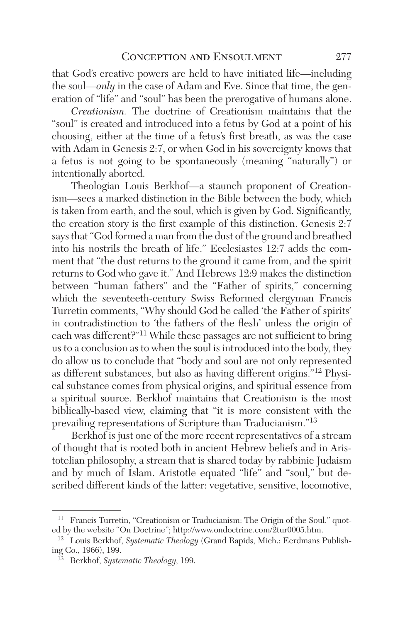that God's creative powers are held to have initiated life—including the soul—*only* in the case of Adam and Eve. Since that time, the generation of "life" and "soul" has been the prerogative of humans alone.

*Creationism.* The doctrine of Creationism maintains that the "soul" is created and introduced into a fetus by God at a point of his choosing, either at the time of a fetus's first breath, as was the case with Adam in Genesis 2:7, or when God in his sovereignty knows that a fetus is not going to be spontaneously (meaning "naturally") or intentionally aborted.

Theologian Louis Berkhof—a staunch proponent of Creationism—sees a marked distinction in the Bible between the body, which is taken from earth, and the soul, which is given by God. Significantly, the creation story is the first example of this distinction. Genesis 2:7 says that "God formed a man from the dust of the ground and breathed into his nostrils the breath of life." Ecclesiastes 12:7 adds the comment that "the dust returns to the ground it came from, and the spirit returns to God who gave it." And Hebrews 12:9 makes the distinction between "human fathers" and the "Father of spirits," concerning which the seventeeth-century Swiss Reformed clergyman Francis Turretin comments, "Why should God be called 'the Father of spirits' in contradistinction to 'the fathers of the flesh' unless the origin of each was different?"11 While these passages are not sufficient to bring us to a conclusion as to when the soul is introduced into the body, they do allow us to conclude that "body and soul are not only represented as different substances, but also as having different origins."12 Physical substance comes from physical origins, and spiritual essence from a spiritual source. Berkhof maintains that Creationism is the most biblically-based view, claiming that "it is more consistent with the prevailing representations of Scripture than Traducianism."13

Berkhof is just one of the more recent representatives of a stream of thought that is rooted both in ancient Hebrew beliefs and in Aristotelian philosophy, a stream that is shared today by rabbinic Judaism and by much of Islam. Aristotle equated "life" and "soul," but described different kinds of the latter: vegetative, sensitive, locomotive,

<sup>&</sup>lt;sup>11</sup> Francis Turretin, "Creationism or Traducianism: The Origin of the Soul," quoted by the website "On Doctrine"; http://www.ondoctrine.com/2tur0005.htm.

<sup>12</sup> Louis Berkhof, *Systematic Theology* (Grand Rapids, Mich.: Eerdmans Publishing Co., 1966), 199.

<sup>13</sup> Berkhof, *Systematic Theology,* 199.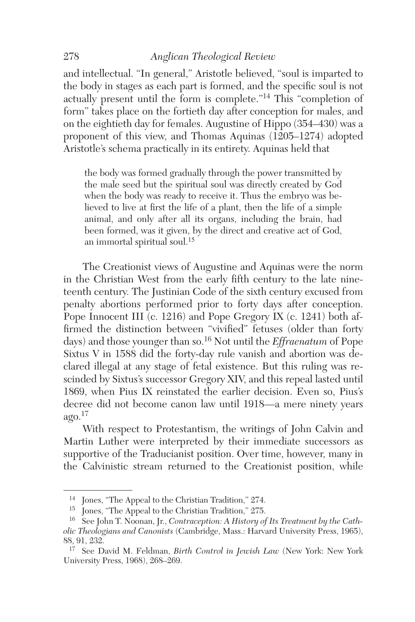and intellectual. "In general," Aristotle believed, "soul is imparted to the body in stages as each part is formed, and the specific soul is not actually present until the form is complete."14 This "completion of form" takes place on the fortieth day after conception for males, and on the eightieth day for females. Augustine of Hippo (354–430) was a proponent of this view, and Thomas Aquinas (1205–1274) adopted Aristotle's schema practically in its entirety. Aquinas held that

the body was formed gradually through the power transmitted by the male seed but the spiritual soul was directly created by God when the body was ready to receive it. Thus the embryo was believed to live at first the life of a plant, then the life of a simple animal, and only after all its organs, including the brain, had been formed, was it given, by the direct and creative act of God, an immortal spiritual soul.<sup>15</sup>

The Creationist views of Augustine and Aquinas were the norm in the Christian West from the early fifth century to the late nineteenth century. The Justinian Code of the sixth century excused from penalty abortions performed prior to forty days after conception. Pope Innocent III (c. 1216) and Pope Gregory IX (c. 1241) both affirmed the distinction between "vivified" fetuses (older than forty days) and those younger than so.16 Not until the *Effraenatum* of Pope Sixtus V in 1588 did the forty-day rule vanish and abortion was declared illegal at any stage of fetal existence. But this ruling was rescinded by Sixtus's successor Gregory XIV, and this repeal lasted until 1869, when Pius IX reinstated the earlier decision. Even so, Pius's decree did not become canon law until 1918—a mere ninety years  $a$ go. $^{17}$ 

With respect to Protestantism, the writings of John Calvin and Martin Luther were interpreted by their immediate successors as supportive of the Traducianist position. Over time, however, many in the Calvinistic stream returned to the Creationist position, while

 $^{14}\,$  Jones, "The Appeal to the Christian Tradition," 274. Iones, "The Appeal to the Christian Tradition," 275.

<sup>&</sup>lt;sup>16</sup> See John T. Noonan, Jr., *Contraception: A History of Its Treatment by the Catholic Theologians and Canonists* (Cambridge, Mass.: Harvard University Press, 1965), 88, 91, 232.

<sup>17</sup> See David M. Feldman, *Birth Control in Jewish Law* (New York: New York University Press, 1968), 268–269.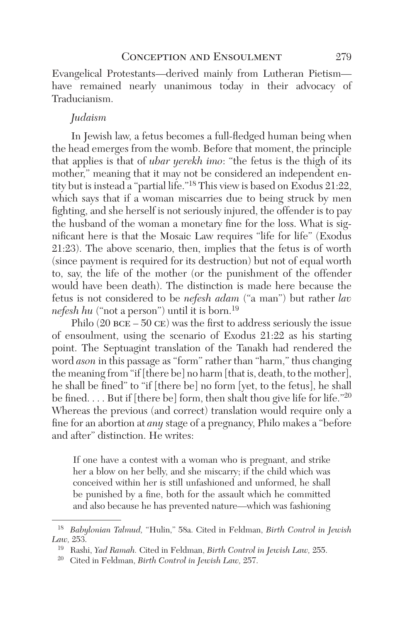Evangelical Protestants—derived mainly from Lutheran Pietism have remained nearly unanimous today in their advocacy of Traducianism.

## *Judaism*

In Jewish law, a fetus becomes a full-fledged human being when the head emerges from the womb. Before that moment, the principle that applies is that of *ubar yerekh imo*: "the fetus is the thigh of its mother," meaning that it may not be considered an independent entity but is instead a "partial life."18 This view is based on Exodus 21:22, which says that if a woman miscarries due to being struck by men fighting, and she herself is not seriously injured, the offender is to pay the husband of the woman a monetary fine for the loss. What is significant here is that the Mosaic Law requires "life for life" (Exodus 21:23). The above scenario, then, implies that the fetus is of worth (since payment is required for its destruction) but not of equal worth to, say, the life of the mother (or the punishment of the offender would have been death). The distinction is made here because the fetus is not considered to be *nefesh adam* ("a man") but rather *lav nefesh hu* ("not a person") until it is born.<sup>19</sup>

Philo  $(20 \text{ BCE} - 50 \text{ CE})$  was the first to address seriously the issue of ensoulment, using the scenario of Exodus 21:22 as his starting point. The Septuagint translation of the Tanakh had rendered the word *ason* in this passage as "form" rather than "harm," thus changing the meaning from "if [there be] no harm [that is, death, to the mother], he shall be fined" to "if [there be] no form [yet, to the fetus], he shall be fined. . . . But if [there be] form, then shalt thou give life for life."<sup>20</sup> Whereas the previous (and correct) translation would require only a fine for an abortion at *any* stage of a pregnancy, Philo makes a "before and after" distinction. He writes:

If one have a contest with a woman who is pregnant, and strike her a blow on her belly, and she miscarry; if the child which was conceived within her is still unfashioned and unformed, he shall be punished by a fine, both for the assault which he committed and also because he has prevented nature—which was fashioning

<sup>18</sup> *Babylonian Talmud,* "Hulin," 58a. Cited in Feldman, *Birth Control in Jewish Law,* 253.

<sup>19</sup> Rashi, *Yad Ramah.* Cited in Feldman, *Birth Control in Jewish Law,* 255.

<sup>20</sup> Cited in Feldman, *Birth Control in Jewish Law,* 257.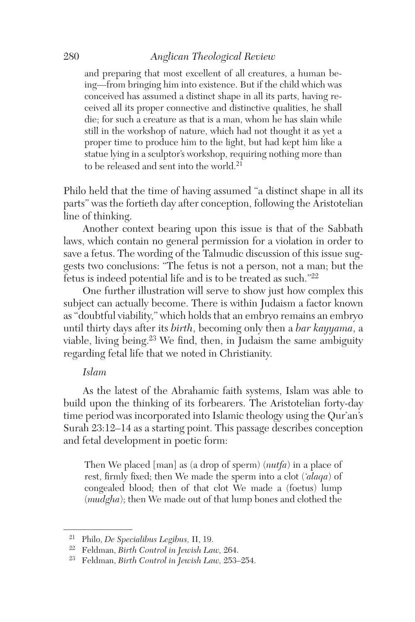and preparing that most excellent of all creatures, a human being—from bringing him into existence. But if the child which was conceived has assumed a distinct shape in all its parts, having received all its proper connective and distinctive qualities, he shall die; for such a creature as that is a man, whom he has slain while still in the workshop of nature, which had not thought it as yet a proper time to produce him to the light, but had kept him like a statue lying in a sculptor's workshop, requiring nothing more than to be released and sent into the world.<sup>21</sup>

Philo held that the time of having assumed "a distinct shape in all its parts" was the fortieth day after conception, following the Aristotelian line of thinking.

Another context bearing upon this issue is that of the Sabbath laws, which contain no general permission for a violation in order to save a fetus. The wording of the Talmudic discussion of this issue suggests two conclusions: "The fetus is not a person, not a man; but the fetus is indeed potential life and is to be treated as such."22

One further illustration will serve to show just how complex this subject can actually become. There is within Judaism a factor known as "doubtful viability," which holds that an embryo remains an embryo until thirty days after its *birth*, becoming only then a *bar kayyama*, a viable, living being. $23$  We find, then, in Judaism the same ambiguity regarding fetal life that we noted in Christianity.

#### *Islam*

As the latest of the Abrahamic faith systems, Islam was able to build upon the thinking of its forbearers. The Aristotelian forty-day time period was incorporated into Islamic theology using the Qur'an's Surah 23:12–14 as a starting point. This passage describes conception and fetal development in poetic form:

Then We placed [man] as (a drop of sperm) (*nutfa*) in a place of rest, firmly fixed; then We made the sperm into a clot (*'alaqa*) of congealed blood; then of that clot We made a (foetus) lump (*mudgha*); then We made out of that lump bones and clothed the

<sup>21</sup> Philo, *De Specialibus Legibus,* II, 19.

<sup>22</sup> Feldman, *Birth Control in Jewish Law,* 264.

<sup>23</sup> Feldman, *Birth Control in Jewish Law,* 253–254.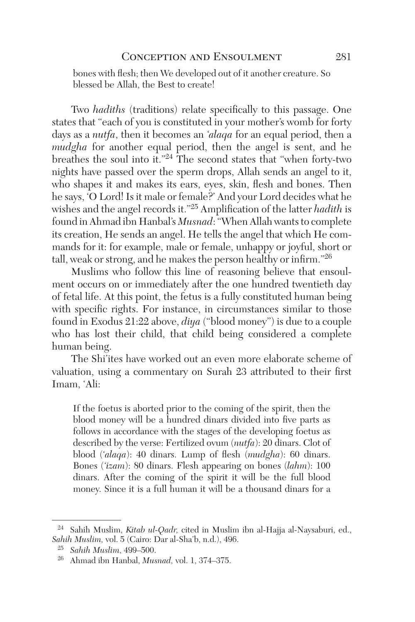bones with flesh; then We developed out of it another creature. So blessed be Allah, the Best to create!

Two *hadiths* (traditions) relate specifically to this passage. One states that "each of you is constituted in your mother's womb for forty days as a *nutfa*, then it becomes an *'alaqa* for an equal period, then a *mudgha* for another equal period, then the angel is sent, and he breathes the soul into it."24 The second states that "when forty-two nights have passed over the sperm drops, Allah sends an angel to it, who shapes it and makes its ears, eyes, skin, flesh and bones. Then he says, 'O Lord! Is it male or female?' And your Lord decides what he wishes and the angel records it."25 Amplification of the latter *hadith* is found in Ahmad ibn Hanbal's *Musnad*: "When Allah wants to complete its creation, He sends an angel. He tells the angel that which He commands for it: for example, male or female, unhappy or joyful, short or tall, weak or strong, and he makes the person healthy or infirm."26

Muslims who follow this line of reasoning believe that ensoulment occurs on or immediately after the one hundred twentieth day of fetal life. At this point, the fetus is a fully constituted human being with specific rights. For instance, in circumstances similar to those found in Exodus 21:22 above, *diya* ("blood money") is due to a couple who has lost their child, that child being considered a complete human being.

The Shi'ites have worked out an even more elaborate scheme of valuation, using a commentary on Surah 23 attributed to their first Imam, 'Ali:

If the foetus is aborted prior to the coming of the spirit, then the blood money will be a hundred dinars divided into five parts as follows in accordance with the stages of the developing foetus as described by the verse: Fertilized ovum (*nutfa*): 20 dinars. Clot of blood ('*alaqa*): 40 dinars. Lump of flesh (*mudgha*): 60 dinars. Bones (*'izam*): 80 dinars. Flesh appearing on bones (*lahm*): 100 dinars. After the coming of the spirit it will be the full blood money. Since it is a full human it will be a thousand dinars for a

<sup>24</sup> Sahih Muslim, *Kitab ul-Qadr,* cited in Muslim ibn al-Hajja al-Naysaburi, ed., *Sahih Muslim,* vol. 5 (Cairo: Dar al-Sha'b, n.d.), 496.

<sup>25</sup> *Sahih Muslim*, 499–500.

<sup>26</sup> Ahmad ibn Hanbal, *Musnad,* vol. 1, 374–375.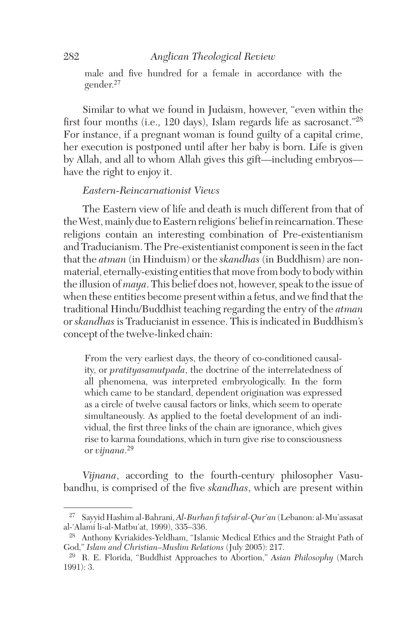male and five hundred for a female in accordance with the gender.<sup>27</sup>

Similar to what we found in Judaism, however, "even within the first four months (i.e., 120 days), Islam regards life as sacrosanct."28 For instance, if a pregnant woman is found guilty of a capital crime, her execution is postponed until after her baby is born. Life is given by Allah, and all to whom Allah gives this gift—including embryos have the right to enjoy it.

# *Eastern-Reincarnationist Views*

The Eastern view of life and death is much different from that of the West, mainly due to Eastern religions' belief in reincarnation. These religions contain an interesting combination of Pre-existentianism and Traducianism. The Pre-existentianist component is seen in the fact that the *atman* (in Hinduism) or the *skandhas* (in Buddhism) are nonmaterial, eternally-existing entities that move from body to body within the illusion of *maya*. This belief does not, however, speak to the issue of when these entities become present within a fetus, and we find that the traditional Hindu/Buddhist teaching regarding the entry of the *atman* or *skandhas* is Traducianist in essence. This is indicated in Buddhism's concept of the twelve-linked chain:

From the very earliest days, the theory of co-conditioned causality, or *pratityasamutpada*, the doctrine of the interrelatedness of all phenomena, was interpreted embryologically. In the form which came to be standard, dependent origination was expressed as a circle of twelve causal factors or links, which seem to operate simultaneously. As applied to the foetal development of an individual, the first three links of the chain are ignorance, which gives rise to karma foundations, which in turn give rise to consciousness or *vijnana*. 29

*Vijnana*, according to the fourth-century philosopher Vasubandhu, is comprised of the five *skandhas*, which are present within

<sup>27</sup> Sayyid Hashim al-Bahrani, *Al-Burhan fi tafsir al-Qur'an* (Lebanon: al-Mu'assasat al-'Alami li-al-Matbu'at, 1999), 335–336.

<sup>28</sup> Anthony Kyriakides-Yeldham, "Islamic Medical Ethics and the Straight Path of God," *Islam and Christian–Muslim Relations* (July 2005): 217.

<sup>29</sup> R. E. Florida, "Buddhist Approaches to Abortion," *Asian Philosophy* (March 1991): 3.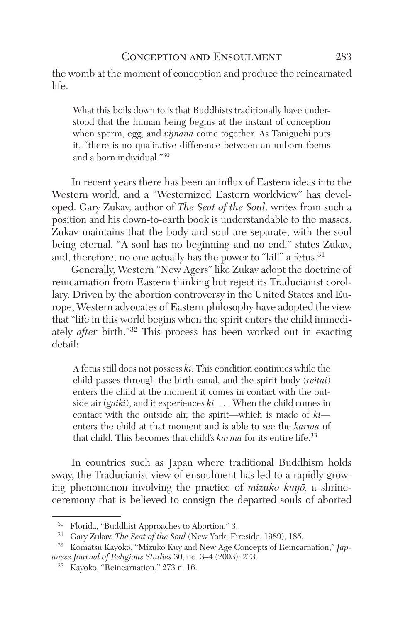the womb at the moment of conception and produce the reincarnated life.

What this boils down to is that Buddhists traditionally have understood that the human being begins at the instant of conception when sperm, egg, and *vijnana* come together. As Taniguchi puts it, "there is no qualitative difference between an unborn foetus and a born individual."<sup>30</sup>

In recent years there has been an influx of Eastern ideas into the Western world, and a "Westernized Eastern worldview" has developed. Gary Zukav, author of *The Seat of the Soul*, writes from such a position and his down-to-earth book is understandable to the masses. Zukav maintains that the body and soul are separate, with the soul being eternal. "A soul has no beginning and no end," states Zukav, and, therefore, no one actually has the power to "kill" a fetus.<sup>31</sup>

Generally, Western "New Agers" like Zukav adopt the doctrine of reincarnation from Eastern thinking but reject its Traducianist corollary. Driven by the abortion controversy in the United States and Europe, Western advocates of Eastern philosophy have adopted the view that "life in this world begins when the spirit enters the child immediately *after* birth."32 This process has been worked out in exacting detail:

A fetus still does not possess *ki*. This condition continues while the child passes through the birth canal, and the spirit-body (*reitai*) enters the child at the moment it comes in contact with the outside air (*gaiki*), and it experiences *ki.* . . . When the child comes in contact with the outside air, the spirit—which is made of *ki* enters the child at that moment and is able to see the *karma* of that child. This becomes that child's *karma* for its entire life.<sup>33</sup>

In countries such as Japan where traditional Buddhism holds sway, the Traducianist view of ensoulment has led to a rapidly growing phenomenon involving the practice of *mizuko kuyo*, a shrineceremony that is believed to consign the departed souls of aborted

<sup>30</sup> Florida, "Buddhist Approaches to Abortion," 3.

<sup>31</sup> Gary Zukav, *The Seat of the Soul* (New York: Fireside, 1989), 185.

<sup>32</sup> Komatsu Kayoko, "Mizuko Kuy and New Age Concepts of Reincarnation," *Japanese Journal of Religious Studies* 30, no. 3–4 (2003): 273.

<sup>33</sup> Kayoko, "Reincarnation," 273 n. 16.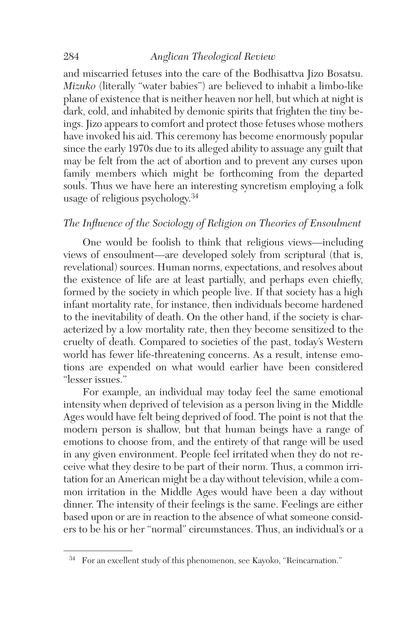and miscarried fetuses into the care of the Bodhisattva Jizo Bosatsu. *Mizuko* (literally "water babies") are believed to inhabit a limbo-like plane of existence that is neither heaven nor hell, but which at night is dark, cold, and inhabited by demonic spirits that frighten the tiny beings. Jizo appears to comfort and protect those fetuses whose mothers have invoked his aid. This ceremony has become enormously popular since the early 1970s due to its alleged ability to assuage any guilt that may be felt from the act of abortion and to prevent any curses upon family members which might be forthcoming from the departed souls. Thus we have here an interesting syncretism employing a folk usage of religious psychology.34

# *The Influence of the Sociology of Religion on Theories of Ensoulment*

One would be foolish to think that religious views—including views of ensoulment—are developed solely from scriptural (that is, revelational) sources. Human norms, expectations, and resolves about the existence of life are at least partially, and perhaps even chiefly, formed by the society in which people live. If that society has a high infant mortality rate, for instance, then individuals become hardened to the inevitability of death. On the other hand, if the society is characterized by a low mortality rate, then they become sensitized to the cruelty of death. Compared to societies of the past, today's Western world has fewer life-threatening concerns. As a result, intense emotions are expended on what would earlier have been considered "lesser issues."

For example, an individual may today feel the same emotional intensity when deprived of television as a person living in the Middle Ages would have felt being deprived of food. The point is not that the modern person is shallow, but that human beings have a range of emotions to choose from, and the entirety of that range will be used in any given environment. People feel irritated when they do not receive what they desire to be part of their norm. Thus, a common irritation for an American might be a day without television, while a common irritation in the Middle Ages would have been a day without dinner. The intensity of their feelings is the same. Feelings are either based upon or are in reaction to the absence of what someone considers to be his or her "normal" circumstances. Thus, an individual's or a

 $^{34}\;$  For an excellent study of this phenomenon, see Kayoko, "Reincarnation."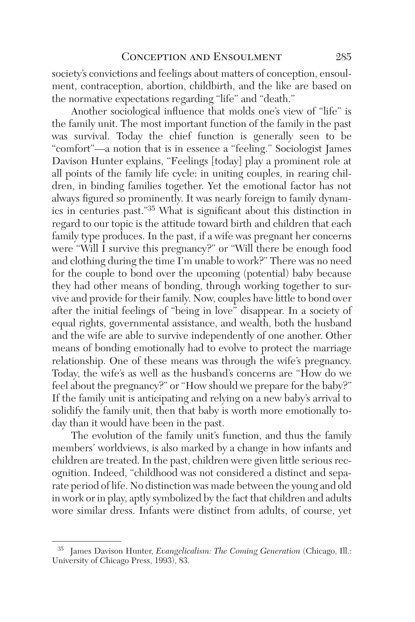society's convictions and feelings about matters of conception, ensoulment, contraception, abortion, childbirth, and the like are based on the normative expectations regarding "life" and "death."

Another sociological influence that molds one's view of "life" is the family unit. The most important function of the family in the past was survival. Today the chief function is generally seen to be "comfort"—a notion that is in essence a "feeling." Sociologist James Davison Hunter explains, "Feelings [today] play a prominent role at all points of the family life cycle: in uniting couples, in rearing children, in binding families together. Yet the emotional factor has not always figured so prominently. It was nearly foreign to family dynamics in centuries past."35 What is significant about this distinction in regard to our topic is the attitude toward birth and children that each family type produces. In the past, if a wife was pregnant her concerns were "Will I survive this pregnancy?" or "Will there be enough food and clothing during the time I'm unable to work?" There was no need for the couple to bond over the upcoming (potential) baby because they had other means of bonding, through working together to survive and provide for their family. Now, couples have little to bond over after the initial feelings of "being in love" disappear. In a society of equal rights, governmental assistance, and wealth, both the husband and the wife are able to survive independently of one another. Other means of bonding emotionally had to evolve to protect the marriage relationship. One of these means was through the wife's pregnancy. Today, the wife's as well as the husband's concerns are "How do we feel about the pregnancy?" or "How should we prepare for the baby?" If the family unit is anticipating and relying on a new baby's arrival to solidify the family unit, then that baby is worth more emotionally today than it would have been in the past.

The evolution of the family unit's function, and thus the family members' worldviews, is also marked by a change in how infants and children are treated. In the past, children were given little serious recognition. Indeed, "childhood was not considered a distinct and separate period of life. No distinction was made between the young and old in work or in play, aptly symbolized by the fact that children and adults wore similar dress. Infants were distinct from adults, of course, yet

James Davison Hunter, *Evangelicalism: The Coming Generation* (Chicago, Ill.: University of Chicago Press, 1993), 83.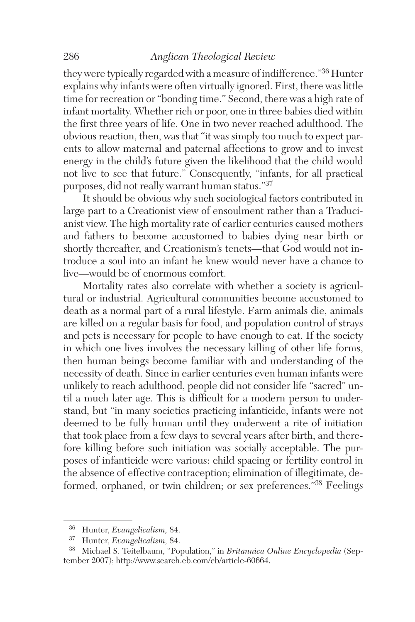they were typically regarded with a measure of indifference."36 Hunter explains why infants were often virtually ignored. First, there was little time for recreation or "bonding time." Second, there was a high rate of infant mortality. Whether rich or poor, one in three babies died within the first three years of life. One in two never reached adulthood. The obvious reaction, then, was that "it was simply too much to expect parents to allow maternal and paternal affections to grow and to invest energy in the child's future given the likelihood that the child would not live to see that future." Consequently, "infants, for all practical purposes, did not really warrant human status."37

It should be obvious why such sociological factors contributed in large part to a Creationist view of ensoulment rather than a Traducianist view. The high mortality rate of earlier centuries caused mothers and fathers to become accustomed to babies dying near birth or shortly thereafter, and Creationism's tenets—that God would not introduce a soul into an infant he knew would never have a chance to live—would be of enormous comfort.

Mortality rates also correlate with whether a society is agricultural or industrial. Agricultural communities become accustomed to death as a normal part of a rural lifestyle. Farm animals die, animals are killed on a regular basis for food, and population control of strays and pets is necessary for people to have enough to eat. If the society in which one lives involves the necessary killing of other life forms, then human beings become familiar with and understanding of the necessity of death. Since in earlier centuries even human infants were unlikely to reach adulthood, people did not consider life "sacred" until a much later age. This is difficult for a modern person to understand, but "in many societies practicing infanticide, infants were not deemed to be fully human until they underwent a rite of initiation that took place from a few days to several years after birth, and therefore killing before such initiation was socially acceptable. The purposes of infanticide were various: child spacing or fertility control in the absence of effective contraception; elimination of illegitimate, deformed, orphaned, or twin children; or sex preferences."38 Feelings

<sup>36</sup> Hunter, *Evangelicalism,* 84.

<sup>37</sup> Hunter, *Evangelicalism,* 84.

<sup>38</sup> Michael S. Teitelbaum, "Population," in *Britannica Online Encyclopedia* (September 2007); http://www.search.eb.com/eb/article-60664.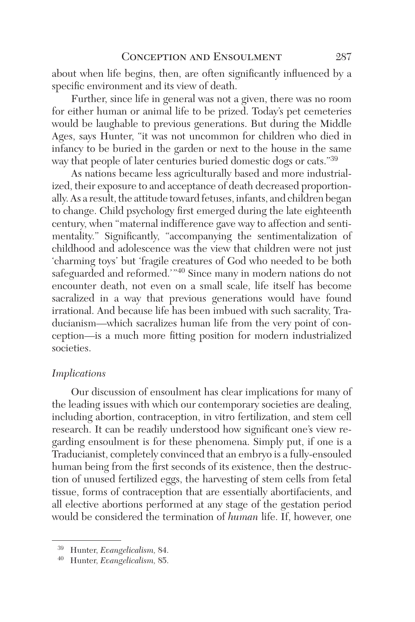about when life begins, then, are often significantly influenced by a specific environment and its view of death.

Further, since life in general was not a given, there was no room for either human or animal life to be prized. Today's pet cemeteries would be laughable to previous generations. But during the Middle Ages, says Hunter, "it was not uncommon for children who died in infancy to be buried in the garden or next to the house in the same way that people of later centuries buried domestic dogs or cats."<sup>39</sup>

As nations became less agriculturally based and more industrialized, their exposure to and acceptance of death decreased proportionally. As a result, the attitude toward fetuses, infants, and children began to change. Child psychology first emerged during the late eighteenth century, when "maternal indifference gave way to affection and sentimentality." Significantly, "accompanying the sentimentalization of childhood and adolescence was the view that children were not just 'charming toys' but 'fragile creatures of God who needed to be both safeguarded and reformed.'"40 Since many in modern nations do not encounter death, not even on a small scale, life itself has become sacralized in a way that previous generations would have found irrational. And because life has been imbued with such sacrality, Traducianism—which sacralizes human life from the very point of conception—is a much more fitting position for modern industrialized societies.

#### *Implications*

Our discussion of ensoulment has clear implications for many of the leading issues with which our contemporary societies are dealing, including abortion, contraception, in vitro fertilization, and stem cell research. It can be readily understood how significant one's view regarding ensoulment is for these phenomena. Simply put, if one is a Traducianist, completely convinced that an embryo is a fully-ensouled human being from the first seconds of its existence, then the destruction of unused fertilized eggs, the harvesting of stem cells from fetal tissue, forms of contraception that are essentially abortifacients, and all elective abortions performed at any stage of the gestation period would be considered the termination of *human* life. If, however, one

<sup>39</sup> Hunter, *Evangelicalism,* 84.

<sup>40</sup> Hunter, *Evangelicalism,* 85.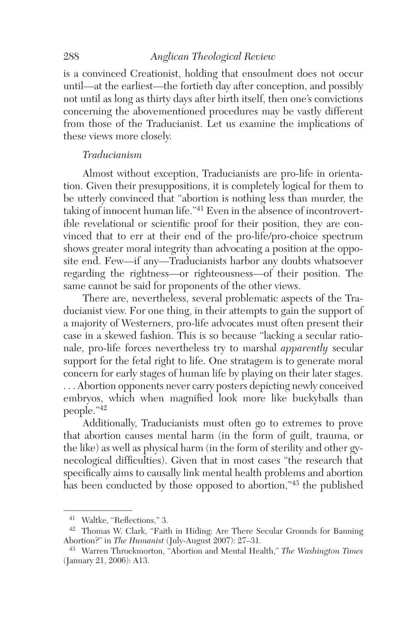is a convinced Creationist, holding that ensoulment does not occur until—at the earliest—the fortieth day after conception, and possibly not until as long as thirty days after birth itself, then one's convictions concerning the abovementioned procedures may be vastly different from those of the Traducianist. Let us examine the implications of these views more closely.

# *Traducianism*

Almost without exception, Traducianists are pro-life in orientation. Given their presuppositions, it is completely logical for them to be utterly convinced that "abortion is nothing less than murder, the taking of innocent human life."41 Even in the absence of incontrovertible revelational or scientific proof for their position, they are convinced that to err at their end of the pro-life/pro-choice spectrum shows greater moral integrity than advocating a position at the opposite end. Few—if any—Traducianists harbor any doubts whatsoever regarding the rightness—or righteousness—of their position. The same cannot be said for proponents of the other views.

There are, nevertheless, several problematic aspects of the Traducianist view. For one thing, in their attempts to gain the support of a majority of Westerners, pro-life advocates must often present their case in a skewed fashion. This is so because "lacking a secular rationale, pro-life forces nevertheless try to marshal *apparently* secular support for the fetal right to life. One stratagem is to generate moral concern for early stages of human life by playing on their later stages. . . . Abortion opponents never carry posters depicting newly conceived embryos, which when magnified look more like buckyballs than people."<sup>42</sup>

Additionally, Traducianists must often go to extremes to prove that abortion causes mental harm (in the form of guilt, trauma, or the like) as well as physical harm (in the form of sterility and other gynecological difficulties). Given that in most cases "the research that specifically aims to causally link mental health problems and abortion has been conducted by those opposed to abortion,"43 the published

<sup>41</sup> Waltke, "Reflections," 3.

<sup>42</sup> Thomas W. Clark, "Faith in Hiding: Are There Secular Grounds for Banning Abortion?" in *The Humanist* (July-August 2007): 27–31.

<sup>43</sup> Warren Throckmorton, "Abortion and Mental Health," *The Washington Times* (January 21, 2006): A13.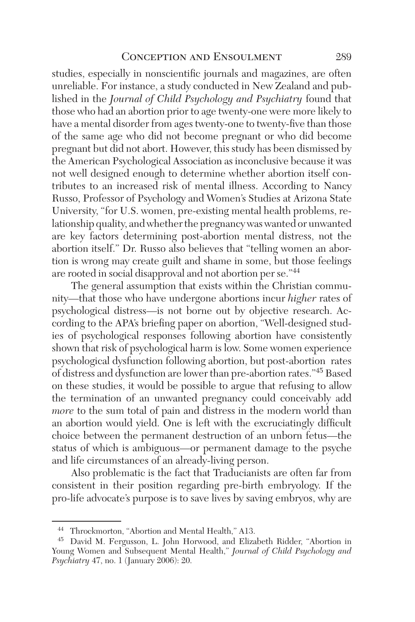studies, especially in nonscientific journals and magazines, are often unreliable. For instance, a study conducted in New Zealand and published in the *Journal of Child Psychology and Psychiatry* found that those who had an abortion prior to age twenty-one were more likely to have a mental disorder from ages twenty-one to twenty-five than those of the same age who did not become pregnant or who did become pregnant but did not abort. However, this study has been dismissed by the American Psychological Association as inconclusive because it was not well designed enough to determine whether abortion itself contributes to an increased risk of mental illness. According to Nancy Russo, Professor of Psychology and Women's Studies at Arizona State University, "for U.S. women, pre-existing mental health problems, relationship quality, and whether the pregnancy was wanted or unwanted are key factors determining post-abortion mental distress, not the abortion itself." Dr. Russo also believes that "telling women an abortion is wrong may create guilt and shame in some, but those feelings are rooted in social disapproval and not abortion per se."<sup>44</sup>

The general assumption that exists within the Christian community—that those who have undergone abortions incur *higher* rates of psychological distress—is not borne out by objective research. According to the APA's briefing paper on abortion, "Well-designed studies of psychological responses following abortion have consistently shown that risk of psychological harm is low. Some women experience psychological dysfunction following abortion, but post-abortion rates of distress and dysfunction are lower than pre-abortion rates."45 Based on these studies, it would be possible to argue that refusing to allow the termination of an unwanted pregnancy could conceivably add *more* to the sum total of pain and distress in the modern world than an abortion would yield. One is left with the excruciatingly difficult choice between the permanent destruction of an unborn fetus—the status of which is ambiguous—or permanent damage to the psyche and life circumstances of an already-living person.

Also problematic is the fact that Traducianists are often far from consistent in their position regarding pre-birth embryology. If the pro-life advocate's purpose is to save lives by saving embryos, why are

Throckmorton, "Abortion and Mental Health," A13.

<sup>45</sup> David M. Fergusson, L. John Horwood, and Elizabeth Ridder, "Abortion in Young Women and Subsequent Mental Health," *Journal of Child Psychology and Psychiatry* 47, no. 1 (January 2006): 20.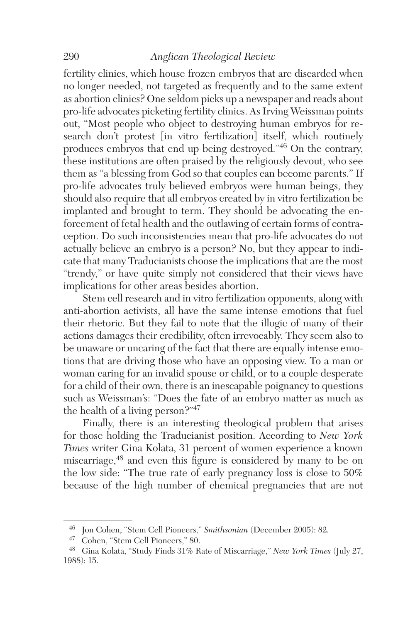fertility clinics, which house frozen embryos that are discarded when no longer needed, not targeted as frequently and to the same extent as abortion clinics? One seldom picks up a newspaper and reads about pro-life advocates picketing fertility clinics. As Irving Weissman points out, "Most people who object to destroying human embryos for research don't protest [in vitro fertilization] itself, which routinely produces embryos that end up being destroyed."46 On the contrary, these institutions are often praised by the religiously devout, who see them as "a blessing from God so that couples can become parents." If pro-life advocates truly believed embryos were human beings, they should also require that all embryos created by in vitro fertilization be implanted and brought to term. They should be advocating the enforcement of fetal health and the outlawing of certain forms of contraception. Do such inconsistencies mean that pro-life advocates do not actually believe an embryo is a person? No, but they appear to indicate that many Traducianists choose the implications that are the most "trendy," or have quite simply not considered that their views have implications for other areas besides abortion.

Stem cell research and in vitro fertilization opponents, along with anti-abortion activists, all have the same intense emotions that fuel their rhetoric. But they fail to note that the illogic of many of their actions damages their credibility, often irrevocably. They seem also to be unaware or uncaring of the fact that there are equally intense emotions that are driving those who have an opposing view. To a man or woman caring for an invalid spouse or child, or to a couple desperate for a child of their own, there is an inescapable poignancy to questions such as Weissman's: "Does the fate of an embryo matter as much as the health of a living person?"<sup>47</sup>

Finally, there is an interesting theological problem that arises for those holding the Traducianist position. According to *New York Times* writer Gina Kolata, 31 percent of women experience a known miscarriage,<sup>48</sup> and even this figure is considered by many to be on the low side: "The true rate of early pregnancy loss is close to 50% because of the high number of chemical pregnancies that are not

<sup>46</sup> Jon Cohen, "Stem Cell Pioneers," *Smithsonian* (December 2005): 82.

<sup>47</sup> Cohen, "Stem Cell Pioneers," 80.

<sup>48</sup> Gina Kolata, "Study Finds 31% Rate of Miscarriage," *New York Times* (July 27, 1988): 15.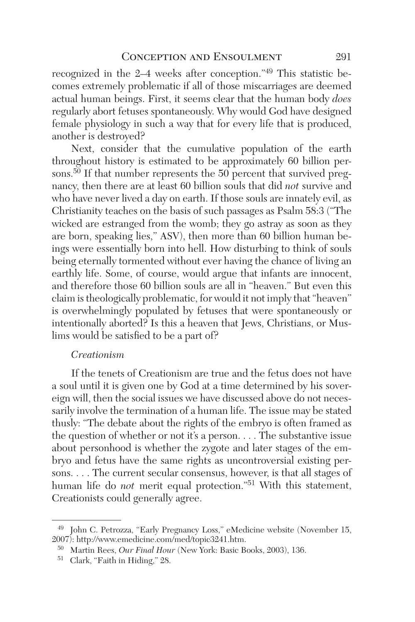recognized in the 2–4 weeks after conception."49 This statistic becomes extremely problematic if all of those miscarriages are deemed actual human beings. First, it seems clear that the human body *does* regularly abort fetuses spontaneously. Why would God have designed female physiology in such a way that for every life that is produced, another is destroyed?

Next, consider that the cumulative population of the earth throughout history is estimated to be approximately 60 billion persons.<sup>50</sup> If that number represents the 50 percent that survived pregnancy, then there are at least 60 billion souls that did *not* survive and who have never lived a day on earth. If those souls are innately evil, as Christianity teaches on the basis of such passages as Psalm 58:3 ("The wicked are estranged from the womb; they go astray as soon as they are born, speaking lies," ASV), then more than 60 billion human beings were essentially born into hell. How disturbing to think of souls being eternally tormented without ever having the chance of living an earthly life. Some, of course, would argue that infants are innocent, and therefore those 60 billion souls are all in "heaven." But even this claim is theologically problematic, for would it not imply that "heaven" is overwhelmingly populated by fetuses that were spontaneously or intentionally aborted? Is this a heaven that Jews, Christians, or Muslims would be satisfied to be a part of?

# *Creationism*

If the tenets of Creationism are true and the fetus does not have a soul until it is given one by God at a time determined by his sovereign will, then the social issues we have discussed above do not necessarily involve the termination of a human life. The issue may be stated thusly: "The debate about the rights of the embryo is often framed as the question of whether or not it's a person. . . . The substantive issue about personhood is whether the zygote and later stages of the embryo and fetus have the same rights as uncontroversial existing persons. . . . The current secular consensus, however, is that all stages of human life do *not* merit equal protection."<sup>51</sup> With this statement, Creationists could generally agree.

<sup>&</sup>lt;sup>49</sup> John C. Petrozza, "Early Pregnancy Loss," eMedicine website (November 15, 2007): http://www.emedicine.com/med/topic3241.htm.

<sup>50</sup> Martin Rees, *Our Final Hour* (New York: Basic Books, 2003), 136.

<sup>51</sup> Clark, "Faith in Hiding," 28.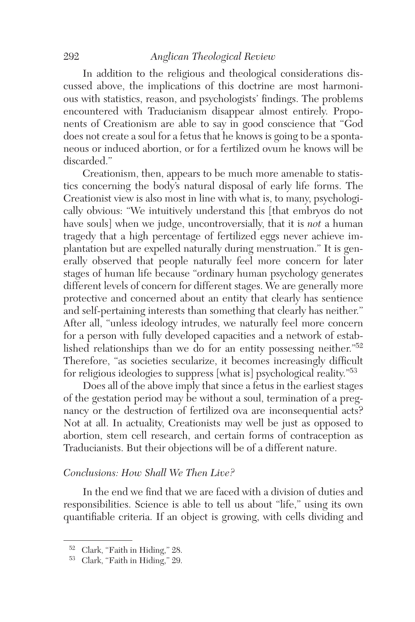In addition to the religious and theological considerations discussed above, the implications of this doctrine are most harmonious with statistics, reason, and psychologists' findings. The problems encountered with Traducianism disappear almost entirely. Proponents of Creationism are able to say in good conscience that "God does not create a soul for a fetus that he knows is going to be a spontaneous or induced abortion, or for a fertilized ovum he knows will be discarded."

Creationism, then, appears to be much more amenable to statistics concerning the body's natural disposal of early life forms. The Creationist view is also most in line with what is, to many, psychologically obvious: "We intuitively understand this [that embryos do not have souls] when we judge, uncontroversially, that it is *not* a human tragedy that a high percentage of fertilized eggs never achieve implantation but are expelled naturally during menstruation." It is generally observed that people naturally feel more concern for later stages of human life because "ordinary human psychology generates different levels of concern for different stages. We are generally more protective and concerned about an entity that clearly has sentience and self-pertaining interests than something that clearly has neither." After all, "unless ideology intrudes, we naturally feel more concern for a person with fully developed capacities and a network of established relationships than we do for an entity possessing neither."<sup>52</sup> Therefore, "as societies secularize, it becomes increasingly difficult for religious ideologies to suppress [what is] psychological reality."<sup>53</sup>

Does all of the above imply that since a fetus in the earliest stages of the gestation period may be without a soul, termination of a pregnancy or the destruction of fertilized ova are inconsequential acts? Not at all. In actuality, Creationists may well be just as opposed to abortion, stem cell research, and certain forms of contraception as Traducianists. But their objections will be of a different nature.

# *Conclusions: How Shall We Then Live?*

In the end we find that we are faced with a division of duties and responsibilities. Science is able to tell us about "life," using its own quantifiable criteria. If an object is growing, with cells dividing and

<sup>52</sup> Clark, "Faith in Hiding," 28.

<sup>53</sup> Clark, "Faith in Hiding," 29.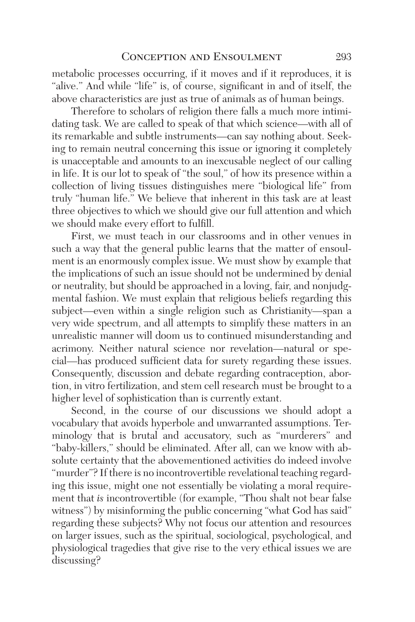metabolic processes occurring, if it moves and if it reproduces, it is "alive." And while "life" is, of course, significant in and of itself, the above characteristics are just as true of animals as of human beings.

Therefore to scholars of religion there falls a much more intimidating task. We are called to speak of that which science—with all of its remarkable and subtle instruments—can say nothing about. Seeking to remain neutral concerning this issue or ignoring it completely is unacceptable and amounts to an inexcusable neglect of our calling in life. It is our lot to speak of "the soul," of how its presence within a collection of living tissues distinguishes mere "biological life" from truly "human life." We believe that inherent in this task are at least three objectives to which we should give our full attention and which we should make every effort to fulfill.

First, we must teach in our classrooms and in other venues in such a way that the general public learns that the matter of ensoulment is an enormously complex issue. We must show by example that the implications of such an issue should not be undermined by denial or neutrality, but should be approached in a loving, fair, and nonjudgmental fashion. We must explain that religious beliefs regarding this subject—even within a single religion such as Christianity—span a very wide spectrum, and all attempts to simplify these matters in an unrealistic manner will doom us to continued misunderstanding and acrimony. Neither natural science nor revelation—natural or special—has produced sufficient data for surety regarding these issues. Consequently, discussion and debate regarding contraception, abortion, in vitro fertilization, and stem cell research must be brought to a higher level of sophistication than is currently extant.

Second, in the course of our discussions we should adopt a vocabulary that avoids hyperbole and unwarranted assumptions. Terminology that is brutal and accusatory, such as "murderers" and "baby-killers," should be eliminated. After all, can we know with absolute certainty that the abovementioned activities do indeed involve "murder"? If there is no incontrovertible revelational teaching regarding this issue, might one not essentially be violating a moral requirement that *is* incontrovertible (for example, "Thou shalt not bear false witness") by misinforming the public concerning "what God has said" regarding these subjects? Why not focus our attention and resources on larger issues, such as the spiritual, sociological, psychological, and physiological tragedies that give rise to the very ethical issues we are discussing?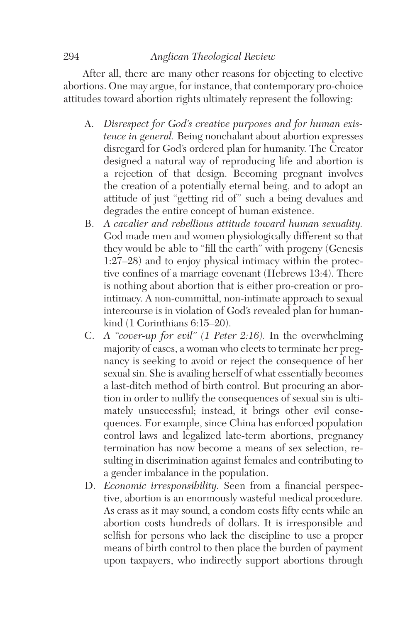After all, there are many other reasons for objecting to elective abortions. One may argue, for instance, that contemporary pro-choice attitudes toward abortion rights ultimately represent the following:

- A. *Disrespect for God's creative purposes and for human existence in general.* Being nonchalant about abortion expresses disregard for God's ordered plan for humanity. The Creator designed a natural way of reproducing life and abortion is a rejection of that design. Becoming pregnant involves the creation of a potentially eternal being, and to adopt an attitude of just "getting rid of" such a being devalues and degrades the entire concept of human existence.
- B. *A cavalier and rebellious attitude toward human sexuality.*  God made men and women physiologically different so that they would be able to "fill the earth" with progeny (Genesis 1:27–28) and to enjoy physical intimacy within the protective confines of a marriage covenant (Hebrews 13:4). There is nothing about abortion that is either pro-creation or prointimacy. A non-committal, non-intimate approach to sexual intercourse is in violation of God's revealed plan for humankind (1 Corinthians 6:15–20).
- C. *A "cover-up for evil" (1 Peter 2:16).* In the overwhelming majority of cases, a woman who elects to terminate her pregnancy is seeking to avoid or reject the consequence of her sexual sin. She is availing herself of what essentially becomes a last-ditch method of birth control. But procuring an abortion in order to nullify the consequences of sexual sin is ultimately unsuccessful; instead, it brings other evil consequences. For example, since China has enforced population control laws and legalized late-term abortions, pregnancy termination has now become a means of sex selection, resulting in discrimination against females and contributing to a gender imbalance in the population.
- D. *Economic irresponsibility.* Seen from a financial perspective, abortion is an enormously wasteful medical procedure. As crass as it may sound, a condom costs fifty cents while an abortion costs hundreds of dollars. It is irresponsible and selfish for persons who lack the discipline to use a proper means of birth control to then place the burden of payment upon taxpayers, who indirectly support abortions through